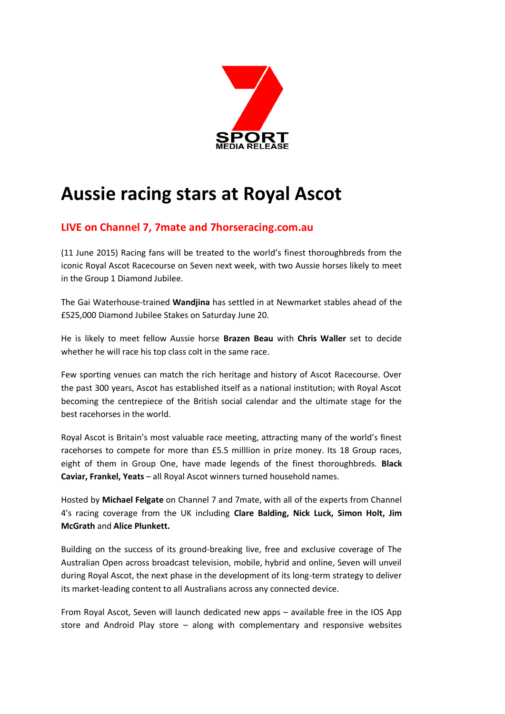

# **Aussie racing stars at Royal Ascot**

# **LIVE on Channel 7, 7mate and 7horseracing.com.au**

(11 June 2015) Racing fans will be treated to the world's finest thoroughbreds from the iconic Royal Ascot Racecourse on Seven next week, with two Aussie horses likely to meet in the Group 1 Diamond Jubilee.

The Gai Waterhouse-trained **Wandjina** has settled in at Newmarket stables ahead of the £525,000 Diamond Jubilee Stakes on Saturday June 20.

He is likely to meet fellow Aussie horse **Brazen Beau** with **Chris Waller** set to decide whether he will race his top class colt in the same race.

Few sporting venues can match the rich heritage and history of Ascot Racecourse. Over the past 300 years, Ascot has established itself as a national institution; with Royal Ascot becoming the centrepiece of the British social calendar and the ultimate stage for the best racehorses in the world.

Royal Ascot is Britain's most valuable race meeting, attracting many of the world's finest racehorses to compete for more than £5.5 milllion in prize money. Its 18 Group races, eight of them in Group One, have made legends of the finest thoroughbreds. **Black Caviar, Frankel, Yeats** – all Royal Ascot winners turned household names.

Hosted by **Michael Felgate** on Channel 7 and 7mate, with all of the experts from Channel 4's racing coverage from the UK including **Clare Balding, Nick Luck, Simon Holt, Jim McGrath** and **Alice Plunkett.**

Building on the success of its ground-breaking live, free and exclusive coverage of The Australian Open across broadcast television, mobile, hybrid and online, Seven will unveil during Royal Ascot, the next phase in the development of its long-term strategy to deliver its market-leading content to all Australians across any connected device.

From Royal Ascot, Seven will launch dedicated new apps – available free in the IOS App store and Android Play store – along with complementary and responsive websites